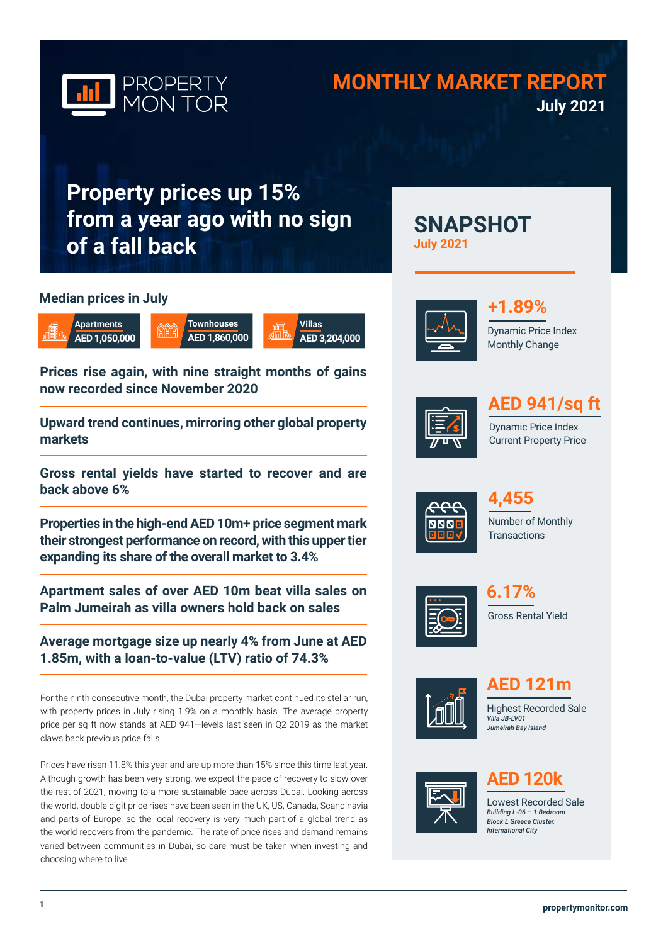

## **MONTHLY MARKET REPORT July 2021**

**SNAPSHOT** 

# **Property prices up 15% from a year ago with no sign of a fall back**

### **Median prices in July**



**Prices rise again, with nine straight months of gains** 

**Villas**

**AED 3,204,000**

**now recorded since November 2020** 

**Upward trend continues, mirroring other global property markets**

**Gross rental yields have started to recover and are back above 6%** 

**Properties in the high-end AED 10m+ price segment mark their strongest performance on record, with this upper tier expanding its share of the overall market to 3.4%** 

**Apartment sales of over AED 10m beat villa sales on Palm Jumeirah as villa owners hold back on sales**

**Average mortgage size up nearly 4% from June at AED 1.85m, with a loan-to-value (LTV) ratio of 74.3%**

For the ninth consecutive month, the Dubai property market continued its stellar run, with property prices in July rising 1.9% on a monthly basis. The average property price per sq ft now stands at AED 941—levels last seen in Q2 2019 as the market claws back previous price falls.

Prices have risen 11.8% this year and are up more than 15% since this time last year. Although growth has been very strong, we expect the pace of recovery to slow over the rest of 2021, moving to a more sustainable pace across Dubai. Looking across the world, double digit price rises have been seen in the UK, US, Canada, Scandinavia and parts of Europe, so the local recovery is very much part of a global trend as the world recovers from the pandemic. The rate of price rises and demand remains varied between communities in Dubai, so care must be taken when investing and choosing where to live.



**July 2021**

## **+1.89%**

Dynamic Price Index Monthly Change



## **AED 941/sq ft**

Dynamic Price Index Current Property Price











Highest Recorded Sale **AED 121m**

*Villa JB-LV01 Jumeirah Bay Island* 



## **AED 120k**

Lowest Recorded Sale *Building L-06 – 1 Bedroom Block L Greece Cluster, International City*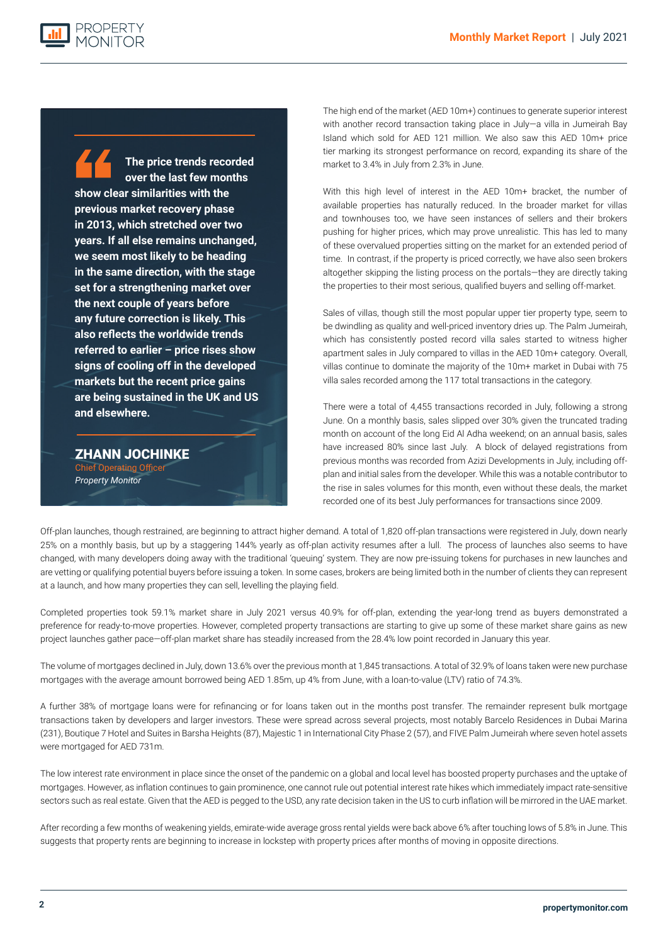**The price trends recorded over the last few months show clear similarities with the previous market recovery phase in 2013, which stretched over two years. If all else remains unchanged, we seem most likely to be heading in the same direction, with the stage set for a strengthening market over the next couple of years before any future correction is likely. This also reflects the worldwide trends referred to earlier – price rises show signs of cooling off in the developed markets but the recent price gains are being sustained in the UK and US and elsewhere.**

PROPERTY

ZHANN JOCHINKE Chief Operating Officer *Property Monitor*

The high end of the market (AED 10m+) continues to generate superior interest with another record transaction taking place in July—a villa in Jumeirah Bay Island which sold for AED 121 million. We also saw this AED 10m+ price tier marking its strongest performance on record, expanding its share of the market to 3.4% in July from 2.3% in June.

With this high level of interest in the AED 10m+ bracket, the number of available properties has naturally reduced. In the broader market for villas and townhouses too, we have seen instances of sellers and their brokers pushing for higher prices, which may prove unrealistic. This has led to many of these overvalued properties sitting on the market for an extended period of time. In contrast, if the property is priced correctly, we have also seen brokers altogether skipping the listing process on the portals—they are directly taking the properties to their most serious, qualified buyers and selling off-market.

Sales of villas, though still the most popular upper tier property type, seem to be dwindling as quality and well-priced inventory dries up. The Palm Jumeirah, which has consistently posted record villa sales started to witness higher apartment sales in July compared to villas in the AED 10m+ category. Overall, villas continue to dominate the majority of the 10m+ market in Dubai with 75 villa sales recorded among the 117 total transactions in the category.

There were a total of 4,455 transactions recorded in July, following a strong June. On a monthly basis, sales slipped over 30% given the truncated trading month on account of the long Eid Al Adha weekend; on an annual basis, sales have increased 80% since last July. A block of delayed registrations from previous months was recorded from Azizi Developments in July, including offplan and initial sales from the developer. While this was a notable contributor to the rise in sales volumes for this month, even without these deals, the market recorded one of its best July performances for transactions since 2009.

Off-plan launches, though restrained, are beginning to attract higher demand. A total of 1,820 off-plan transactions were registered in July, down nearly 25% on a monthly basis, but up by a staggering 144% yearly as off-plan activity resumes after a lull. The process of launches also seems to have changed, with many developers doing away with the traditional 'queuing' system. They are now pre-issuing tokens for purchases in new launches and are vetting or qualifying potential buyers before issuing a token. In some cases, brokers are being limited both in the number of clients they can represent at a launch, and how many properties they can sell, levelling the playing field.

Completed properties took 59.1% market share in July 2021 versus 40.9% for off-plan, extending the year-long trend as buyers demonstrated a preference for ready-to-move properties. However, completed property transactions are starting to give up some of these market share gains as new project launches gather pace—off-plan market share has steadily increased from the 28.4% low point recorded in January this year.

The volume of mortgages declined in July, down 13.6% over the previous month at 1,845 transactions. A total of 32.9% of loans taken were new purchase mortgages with the average amount borrowed being AED 1.85m, up 4% from June, with a loan-to-value (LTV) ratio of 74.3%.

A further 38% of mortgage loans were for refinancing or for loans taken out in the months post transfer. The remainder represent bulk mortgage transactions taken by developers and larger investors. These were spread across several projects, most notably Barcelo Residences in Dubai Marina (231), Boutique 7 Hotel and Suites in Barsha Heights (87), Majestic 1 in International City Phase 2 (57), and FIVE Palm Jumeirah where seven hotel assets were mortgaged for AED 731m.

The low interest rate environment in place since the onset of the pandemic on a global and local level has boosted property purchases and the uptake of mortgages. However, as inflation continues to gain prominence, one cannot rule out potential interest rate hikes which immediately impact rate-sensitive sectors such as real estate. Given that the AED is pegged to the USD, any rate decision taken in the US to curb inflation will be mirrored in the UAE market.

After recording a few months of weakening yields, emirate-wide average gross rental yields were back above 6% after touching lows of 5.8% in June. This suggests that property rents are beginning to increase in lockstep with property prices after months of moving in opposite directions.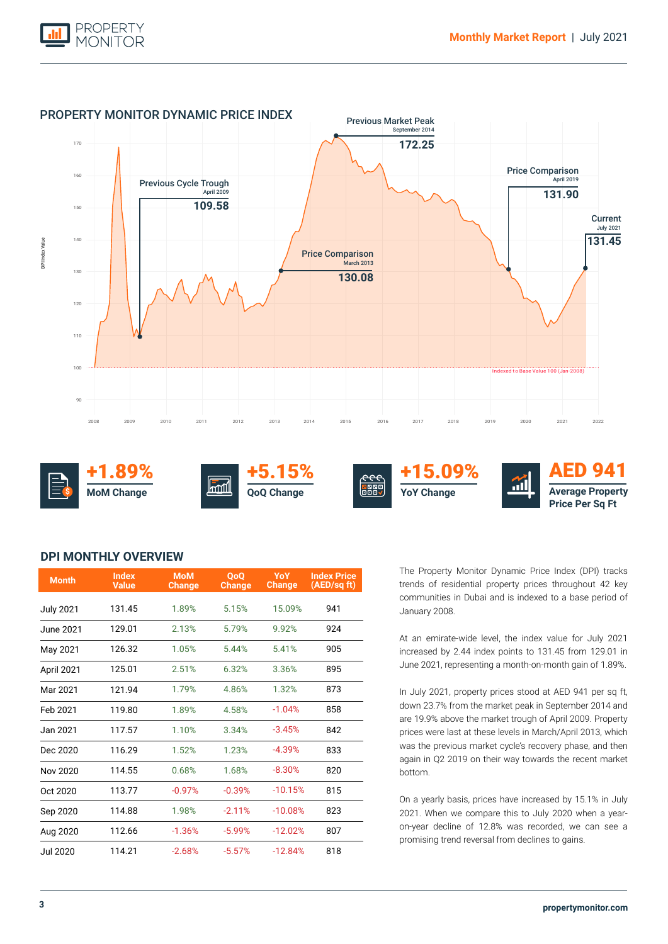



### **DPI MONTHLY OVERVIEW**

| <b>Month</b>     | <b>Index</b><br><b>Value</b> | <b>MoM</b><br>Change | <b>OoO</b><br><b>Change</b> | <b>YoY</b><br><b>Change</b> | <b>Index Price</b><br>(AED/sq ft) |
|------------------|------------------------------|----------------------|-----------------------------|-----------------------------|-----------------------------------|
| <b>July 2021</b> | 131.45                       | 1.89%                | 5.15%                       | 15.09%                      | 941                               |
| June 2021.       | 129.01                       | 2.13%                | 5.79%                       | 9.92%                       | 924                               |
| May 2021         | 126.32                       | 1.05%                | 5.44%                       | 5.41%                       | 905                               |
| April 2021       | 125.01                       | 2.51%                | 6.32%                       | 3.36%                       | 895                               |
| Mar 2021         | 121.94                       | 1.79%                | 4.86%                       | 1.32%                       | 873                               |
| Feb 2021         | 119.80                       | 1.89%                | 4.58%                       | $-1.04%$                    | 858                               |
| Jan 2021         | 117.57                       | 1.10%                | 3.34%                       | $-3.45%$                    | 842                               |
| Dec 2020         | 116.29                       | 1.52%                | 1.23%                       | $-4.39%$                    | 833                               |
| Nov 2020         | 114.55                       | 0.68%                | 1.68%                       | $-8.30%$                    | 820                               |
| Oct 2020         | 113.77                       | $-0.97%$             | $-0.39%$                    | $-10.15%$                   | 815                               |
| Sep 2020         | 114.88                       | 1.98%                | $-2.11%$                    | $-10.08%$                   | 823                               |
| Aug 2020         | 112.66                       | $-1.36%$             | $-5.99%$                    | $-12.02%$                   | 807                               |
| Jul 2020         | 114.21                       | $-2.68%$             | $-5.57%$                    | $-12.84%$                   | 818                               |

The Property Monitor Dynamic Price Index (DPI) tracks trends of residential property prices throughout 42 key communities in Dubai and is indexed to a base period of January 2008.

At an emirate-wide level, the index value for July 2021 increased by 2.44 index points to 131.45 from 129.01 in June 2021, representing a month-on-month gain of 1.89%.

In July 2021, property prices stood at AED 941 per sq ft, down 23.7% from the market peak in September 2014 and are 19.9% above the market trough of April 2009. Property prices were last at these levels in March/April 2013, which was the previous market cycle's recovery phase, and then again in Q2 2019 on their way towards the recent market bottom.

On a yearly basis, prices have increased by 15.1% in July 2021. When we compare this to July 2020 when a yearon-year decline of 12.8% was recorded, we can see a promising trend reversal from declines to gains.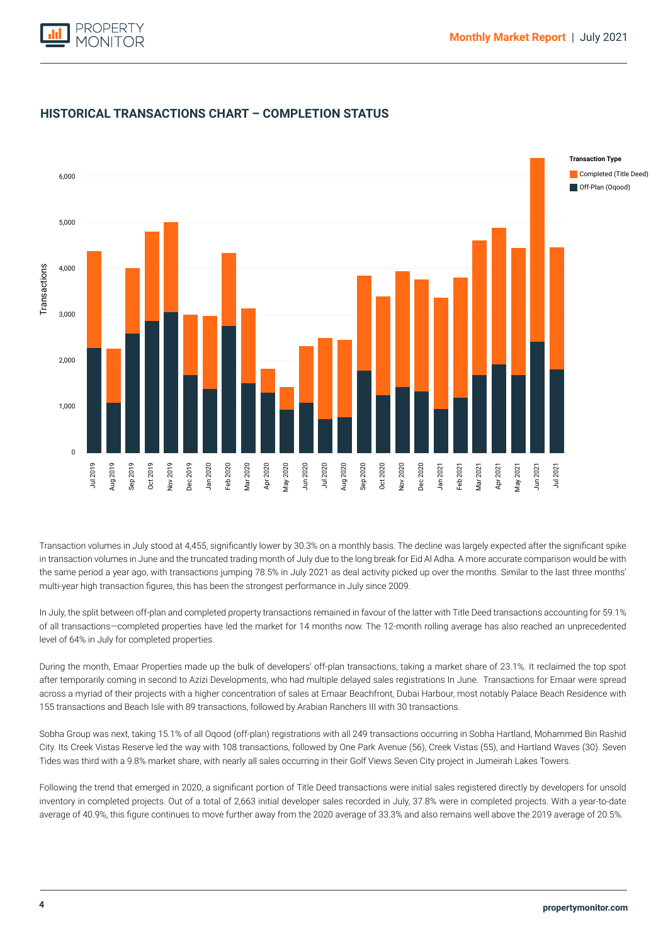



### **HISTORICAL TRANSACTIONS CHART – COMPLETION STATUS**

Transaction volumes in July stood at 4,455, significantly lower by 30.3% on a monthly basis. The decline was largely expected after the significant spike in transaction volumes in June and the truncated trading month of July due to the long break for Eid Al Adha. A more accurate comparison would be with the same period a year ago, with transactions jumping 78.5% in July 2021 as deal activity picked up over the months. Similar to the last three months' multi-year high transaction figures, this has been the strongest performance in July since 2009.

In July, the split between off-plan and completed property transactions remained in favour of the latter with Title Deed transactions accounting for 59.1% of all transactions—completed properties have led the market for 14 months now. The 12-month rolling average has also reached an unprecedented level of 64% in July for completed properties.

During the month, Emaar Properties made up the bulk of developers' off-plan transactions, taking a market share of 23.1%. It reclaimed the top spot after temporarily coming in second to Azizi Developments, who had multiple delayed sales registrations In June. Transactions for Emaar were spread across a myriad of their projects with a higher concentration of sales at Emaar Beachfront, Dubai Harbour, most notably Palace Beach Residence with 155 transactions and Beach Isle with 89 transactions, followed by Arabian Ranchers III with 30 transactions.

Sobha Group was next, taking 15.1% of all Oqood (off-plan) registrations with all 249 transactions occurring in Sobha Hartland, Mohammed Bin Rashid City. Its Creek Vistas Reserve led the way with 108 transactions, followed by One Park Avenue (56), Creek Vistas (55), and Hartland Waves (30). Seven Tides was third with a 9.8% market share, with nearly all sales occurring in their Golf Views Seven City project in Jumeirah Lakes Towers.

Following the trend that emerged in 2020, a significant portion of Title Deed transactions were initial sales registered directly by developers for unsold inventory in completed projects. Out of a total of 2,663 initial developer sales recorded in July, 37.8% were in completed projects. With a year-to-date average of 40.9%, this figure continues to move further away from the 2020 average of 33.3% and also remains well above the 2019 average of 20.5%.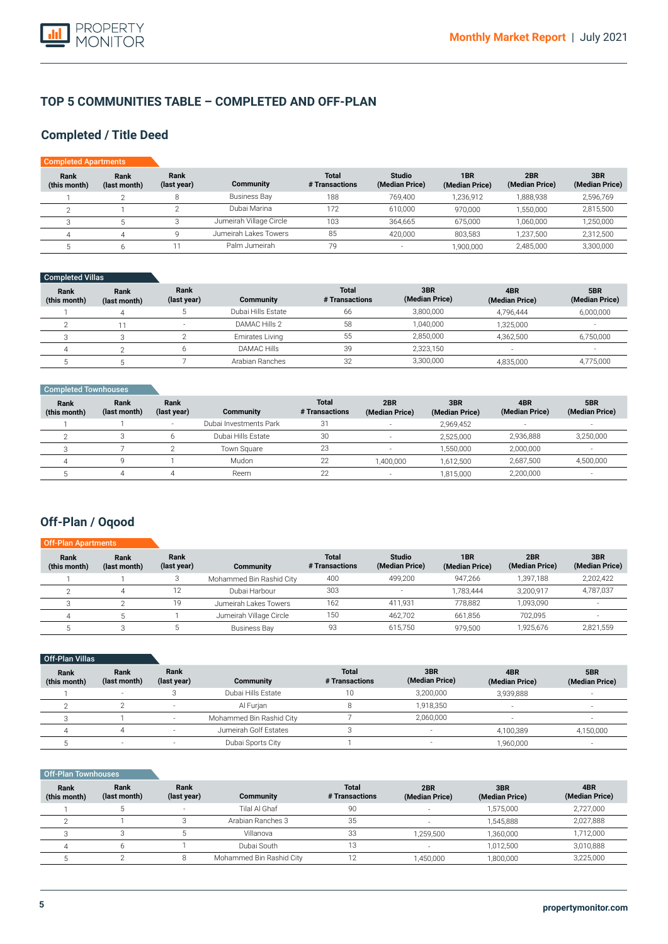

### **TOP 5 COMMUNITIES TABLE – COMPLETED AND OFF-PLAN**

### **Completed / Title Deed**

| <b>Completed Apartments</b> |                      |                     |                         |                                |                                 |                       |                       |                       |
|-----------------------------|----------------------|---------------------|-------------------------|--------------------------------|---------------------------------|-----------------------|-----------------------|-----------------------|
| Rank<br>(this month)        | Rank<br>(last month) | Rank<br>(last year) | <b>Community</b>        | <b>Total</b><br># Transactions | <b>Studio</b><br>(Median Price) | 1BR<br>(Median Price) | 2BR<br>(Median Price) | 3BR<br>(Median Price) |
|                             | ◠                    | 8                   | <b>Business Bay</b>     | 188                            | 769,400                         | 1,236,912             | 1,888,938             | 2,596,769             |
|                             |                      |                     | Dubai Marina            | 172                            | 610,000                         | 970.000               | 1,550,000             | 2,815,500             |
|                             |                      |                     | Jumeirah Village Circle | 103                            | 364,665                         | 675.000               | 1,060,000             | 1,250,000             |
|                             |                      |                     | Jumeirah Lakes Towers   | 85                             | 420.000                         | 803.583               | 1.237.500             | 2,312,500             |
|                             | h                    |                     | Palm Jumeirah           | 79                             | $\overline{\phantom{a}}$        | 1,900,000             | 2,485,000             | 3,300,000             |

### Completed Villas

| Rank<br>(this month) | Rank<br>(last month) | Rank<br>(last year) | Community          | <b>Total</b><br># Transactions | 3BR<br>(Median Price) | 4BR<br>(Median Price) | 5BR<br>(Median Price) |
|----------------------|----------------------|---------------------|--------------------|--------------------------------|-----------------------|-----------------------|-----------------------|
|                      |                      |                     | Dubai Hills Estate | 66                             | 3.800.000             | 4.796.444             | 6,000,000             |
|                      |                      |                     | DAMAC Hills 2      | 58                             | 1.040.000             | 1.325.000             |                       |
|                      |                      |                     | Emirates Living    | 55                             | 2,850,000             | 4.362.500             | 6,750,000             |
|                      |                      |                     | DAMAC Hills        | 39                             | 2,323,150             |                       |                       |
|                      |                      |                     | Arabian Ranches    | 32                             | 3,300,000             | 4,835,000             | 4,775,000             |

| Completed Townhouses |                      |                     |                        |                                |                          |                       |                          |                       |
|----------------------|----------------------|---------------------|------------------------|--------------------------------|--------------------------|-----------------------|--------------------------|-----------------------|
| Rank<br>(this month) | Rank<br>(last month) | Rank<br>(last year) | Community              | <b>Total</b><br># Transactions | 2BR<br>(Median Price)    | 3BR<br>(Median Price) | 4BR<br>(Median Price)    | 5BR<br>(Median Price) |
|                      |                      |                     | Dubai Investments Park | 31                             | з.                       | 2.969.452             | $\overline{\phantom{a}}$ |                       |
|                      |                      |                     | Dubai Hills Estate     | 30                             | $\overline{\phantom{a}}$ | 2,525,000             | 2,936,888                | 3,250,000             |
|                      |                      |                     | Town Square            | 23                             | $\overline{\phantom{a}}$ | 1.550.000             | 2,000,000                | <b>.</b>              |
| д                    | a                    |                     | Mudon                  | 22                             | 1.400.000                | 1.612.500             | 2,687,500                | 4,500,000             |
|                      |                      |                     | Reem                   | 22                             | $\sim$                   | 1,815,000             | 2,200,000                |                       |

### **Off-Plan / Oqood**

| <b>Off-Plan Apartments</b> |                      |                     |                          |                                |                                 |                       |                       |                       |
|----------------------------|----------------------|---------------------|--------------------------|--------------------------------|---------------------------------|-----------------------|-----------------------|-----------------------|
| Rank<br>(this month)       | Rank<br>(last month) | Rank<br>(last year) | <b>Community</b>         | <b>Total</b><br># Transactions | <b>Studio</b><br>(Median Price) | 1BR<br>(Median Price) | 2BR<br>(Median Price) | 3BR<br>(Median Price) |
|                            |                      | C                   | Mohammed Bin Rashid City | 400                            | 499.200                         | 947.266               | 1.397.188             | 2,202,422             |
|                            |                      |                     | Dubai Harbour            | 303                            |                                 | 1.783.444             | 3,200,917             | 4,787,037             |
|                            |                      | 19                  | Jumeirah Lakes Towers    | 162                            | 411,931                         | 778.882               | 1,093,090             |                       |
|                            |                      |                     | Jumeirah Village Circle  | 150                            | 462.702                         | 661.856               | 702.095               |                       |
|                            |                      |                     | <b>Business Bay</b>      | 93                             | 615,750                         | 979.500               | 1.925.676             | 2,821,559             |

#### **Rank (this month)** 1 2 3 4 5 **Rank (last month)** - 2 1 4 - **Rank (last year)** 3 - - - - **Community**  Dubai Hills Estate Al Furjan Mohammed Bin Rashid City Jumeirah Golf Estates Dubai Sports City **Total # Transactions** 10 8 7 3 1 Off-Plan Villas **3BR (Median Price)** 3,200,000 1,918,350 2,060,000 - - **4BR (Median Price)** 3,939,888 - - 4,100,389 1,960,000 **5BR (Median Price)** - - - 4,150,000 -

#### Off-Plan Townhouses

| Rank<br>(this month) | Rank<br>(last month) | <b>Rank</b><br>(last year) | Community                | <b>Total</b><br># Transactions | 2BR<br>(Median Price)    | 3BR<br>(Median Price) | 4BR<br>(Median Price) |
|----------------------|----------------------|----------------------------|--------------------------|--------------------------------|--------------------------|-----------------------|-----------------------|
|                      |                      | $\overline{\phantom{a}}$   | Tilal Al Ghaf            | 90                             |                          | 1,575,000             | 2,727,000             |
|                      |                      |                            | Arabian Ranches 3        | 35                             | $\overline{\phantom{a}}$ | 1.545.888             | 2,027,888             |
|                      |                      |                            | Villanova                | 33                             | 1.259.500                | 1,360,000             | 1,712,000             |
|                      |                      |                            | Dubai South              | 13                             | $\overline{\phantom{a}}$ | 1.012.500             | 3,010,888             |
|                      |                      |                            | Mohammed Bin Rashid City | 10                             | 1,450,000                | 1,800,000             | 3,225,000             |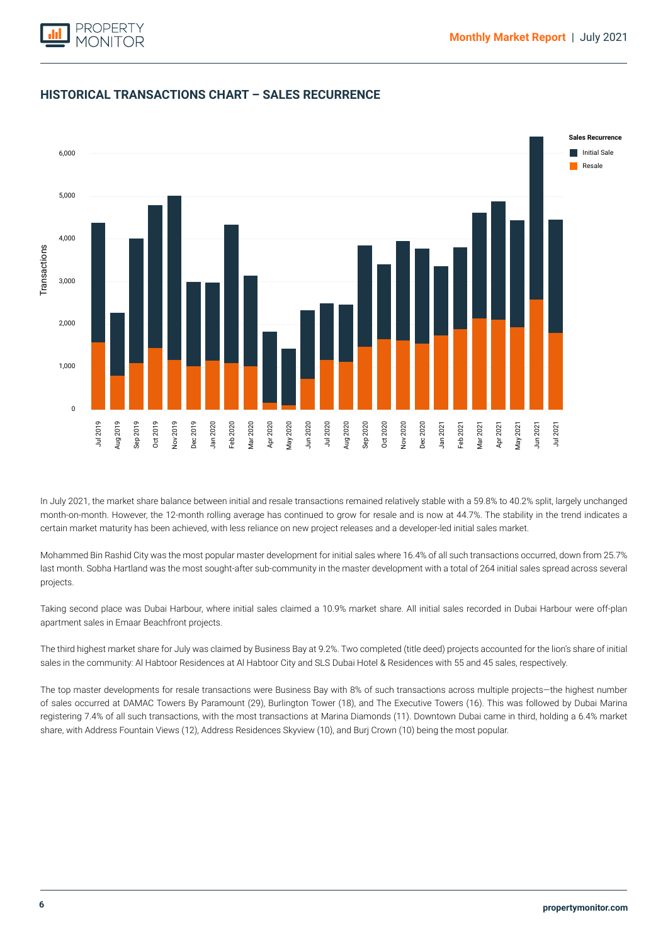



### **HISTORICAL TRANSACTIONS CHART – SALES RECURRENCE**

In July 2021, the market share balance between initial and resale transactions remained relatively stable with a 59.8% to 40.2% split, largely unchanged month-on-month. However, the 12-month rolling average has continued to grow for resale and is now at 44.7%. The stability in the trend indicates a certain market maturity has been achieved, with less reliance on new project releases and a developer-led initial sales market.

Mohammed Bin Rashid City was the most popular master development for initial sales where 16.4% of all such transactions occurred, down from 25.7% last month. Sobha Hartland was the most sought-after sub-community in the master development with a total of 264 initial sales spread across several projects.

Taking second place was Dubai Harbour, where initial sales claimed a 10.9% market share. All initial sales recorded in Dubai Harbour were off-plan apartment sales in Emaar Beachfront projects.

The third highest market share for July was claimed by Business Bay at 9.2%. Two completed (title deed) projects accounted for the lion's share of initial sales in the community: Al Habtoor Residences at Al Habtoor City and SLS Dubai Hotel & Residences with 55 and 45 sales, respectively.

The top master developments for resale transactions were Business Bay with 8% of such transactions across multiple projects—the highest number of sales occurred at DAMAC Towers By Paramount (29), Burlington Tower (18), and The Executive Towers (16). This was followed by Dubai Marina registering 7.4% of all such transactions, with the most transactions at Marina Diamonds (11). Downtown Dubai came in third, holding a 6.4% market share, with Address Fountain Views (12), Address Residences Skyview (10), and Burj Crown (10) being the most popular.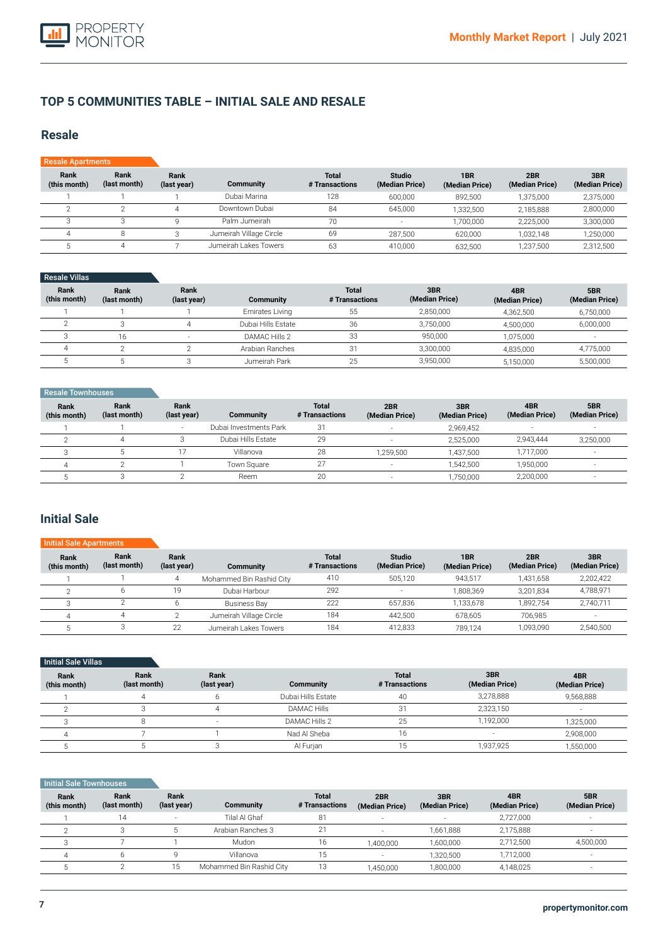

### **TOP 5 COMMUNITIES TABLE – INITIAL SALE AND RESALE**

### **Resale**

| <b>Resale Apartments</b> |                      |                     |                         |                                |                                 |                       |                       |                       |
|--------------------------|----------------------|---------------------|-------------------------|--------------------------------|---------------------------------|-----------------------|-----------------------|-----------------------|
| Rank<br>(this month)     | Rank<br>(last month) | Rank<br>(last year) | Community               | <b>Total</b><br># Transactions | <b>Studio</b><br>(Median Price) | 1BR<br>(Median Price) | 2BR<br>(Median Price) | 3BR<br>(Median Price) |
|                          |                      |                     | Dubai Marina            | 128                            | 600,000                         | 892.500               | 1,375,000             | 2,375,000             |
|                          |                      |                     | Downtown Dubai          | 84                             | 645.000                         | 1,332,500             | 2,185,888             | 2,800,000             |
|                          |                      |                     | Palm Jumeirah           | 70                             | ۰.                              | 1,700,000             | 2.225.000             | 3,300,000             |
|                          | 8                    |                     | Jumeirah Village Circle | 69                             | 287,500                         | 620.000               | 1.032.148             | 1,250,000             |
|                          | 4                    |                     | Jumeirah Lakes Towers   | 63                             | 410,000                         | 632,500               | 1,237,500             | 2,312,500             |

### Resale Villas

| Rank<br>(this month) | Rank<br>(last month) | Rank<br>(last year) | Community              | <b>Total</b><br># Transactions | 3BR<br>(Median Price) | 4BR<br>(Median Price) | 5BR<br>(Median Price) |
|----------------------|----------------------|---------------------|------------------------|--------------------------------|-----------------------|-----------------------|-----------------------|
|                      |                      |                     | <b>Emirates Living</b> | 55                             | 2,850,000             | 4.362.500             | 6,750,000             |
|                      |                      |                     | Dubai Hills Estate     | 36                             | 3,750,000             | 4.500.000             | 6,000,000             |
|                      | 16                   |                     | DAMAC Hills 2          | 33                             | 950.000               | 1.075.000             | -                     |
|                      |                      |                     | Arabian Ranches        | 31                             | 3.300.000             | 4.835.000             | 4,775,000             |
|                      |                      |                     | Jumeirah Park          | 25                             | 3,950,000             | 5,150,000             | 5,500,000             |

| Resale Townhouses    |                      |                     |                        |                                |                       |                       |                       |                       |
|----------------------|----------------------|---------------------|------------------------|--------------------------------|-----------------------|-----------------------|-----------------------|-----------------------|
| Rank<br>(this month) | Rank<br>(last month) | Rank<br>(last year) | <b>Community</b>       | <b>Total</b><br># Transactions | 2BR<br>(Median Price) | 3BR<br>(Median Price) | 4BR<br>(Median Price) | 5BR<br>(Median Price) |
|                      |                      | -                   | Dubai Investments Park | 31                             |                       | 2,969,452             |                       | $\sim$                |
|                      |                      |                     | Dubai Hills Estate     | 29                             |                       | 2,525,000             | 2,943,444             | 3,250,000             |
|                      |                      |                     | Villanova              | 28                             | 1,259,500             | 1.437.500             | 1,717,000             |                       |
|                      |                      |                     | Town Square            | 27                             |                       | 1.542.500             | 1,950,000             |                       |
|                      |                      |                     | Reem                   | 20                             |                       | 1,750,000             | 2,200,000             |                       |

### **Initial Sale**

| <b>Initial Sale Apartments</b> |                      |                     |                          |                                |                                 |                       |                       |                       |
|--------------------------------|----------------------|---------------------|--------------------------|--------------------------------|---------------------------------|-----------------------|-----------------------|-----------------------|
| Rank<br>(this month)           | Rank<br>(last month) | Rank<br>(last year) | Community                | <b>Total</b><br># Transactions | <b>Studio</b><br>(Median Price) | 1BR<br>(Median Price) | 2BR<br>(Median Price) | 3BR<br>(Median Price) |
|                                |                      | 4                   | Mohammed Bin Rashid City | 410                            | 505.120                         | 943.517               | 1.431.658             | 2,202,422             |
|                                |                      | 19                  | Dubai Harbour            | 292                            | $\overline{\phantom{a}}$        | 1.808.369             | 3.201.834             | 4,788,971             |
|                                |                      |                     | <b>Business Bay</b>      | 222                            | 657,836                         | 1.133.678             | 1.892.754             | 2,740,711             |
|                                |                      |                     | Jumeirah Village Circle  | 184                            | 442.500                         | 678.605               | 706.985               |                       |
|                                |                      | 22                  | Jumeirah Lakes Towers    | 184                            | 412.833                         | 789.124               | 1.093.090             | 2.540.500             |

| <b>Initial Sale Villas</b> |                      |                     |                    |                                |                       |                       |
|----------------------------|----------------------|---------------------|--------------------|--------------------------------|-----------------------|-----------------------|
| Rank<br>(this month)       | Rank<br>(last month) | Rank<br>(last year) | Community          | <b>Total</b><br># Transactions | 3BR<br>(Median Price) | 4BR<br>(Median Price) |
|                            |                      |                     | Dubai Hills Estate | 40                             | 3,278,888             | 9,568,888             |
|                            |                      | 4                   | <b>DAMAC Hills</b> | 31                             | 2,323,150             |                       |
|                            |                      |                     | DAMAC Hills 2      | 25                             | 1,192,000             | 1,325,000             |
|                            |                      |                     | Nad Al Sheba       | 16                             |                       | 2,908,000             |
|                            |                      |                     | Al Furjan          | 15                             | 1,937,925             | 1,550,000             |

#### **Initial Sale Townhouses**

| Rank<br>(this month) | Rank<br>(last month) | Rank<br>(last year) | Community                | <b>Total</b><br># Transactions | 2BR<br>(Median Price) | 3BR<br>(Median Price) | 4BR<br>(Median Price) | 5BR<br>(Median Price)    |
|----------------------|----------------------|---------------------|--------------------------|--------------------------------|-----------------------|-----------------------|-----------------------|--------------------------|
|                      | 14                   |                     | Tilal Al Ghaf            | 81                             | $\sim$                | -                     | 2,727,000             |                          |
|                      |                      |                     | Arabian Ranches 3        | 21                             |                       | 1,661,888             | 2,175,888             | $\overline{\phantom{a}}$ |
|                      |                      |                     | Mudon                    | 16                             | 1.400.000             | 1.600.000             | 2,712,500             | 4,500,000                |
| 4                    |                      |                     | Villanova                | 15                             |                       | 1.320.500             | 1,712,000             | -                        |
|                      |                      | 15                  | Mohammed Bin Rashid City | 13                             | 1.450.000             | 1,800,000             | 4,148,025             | -                        |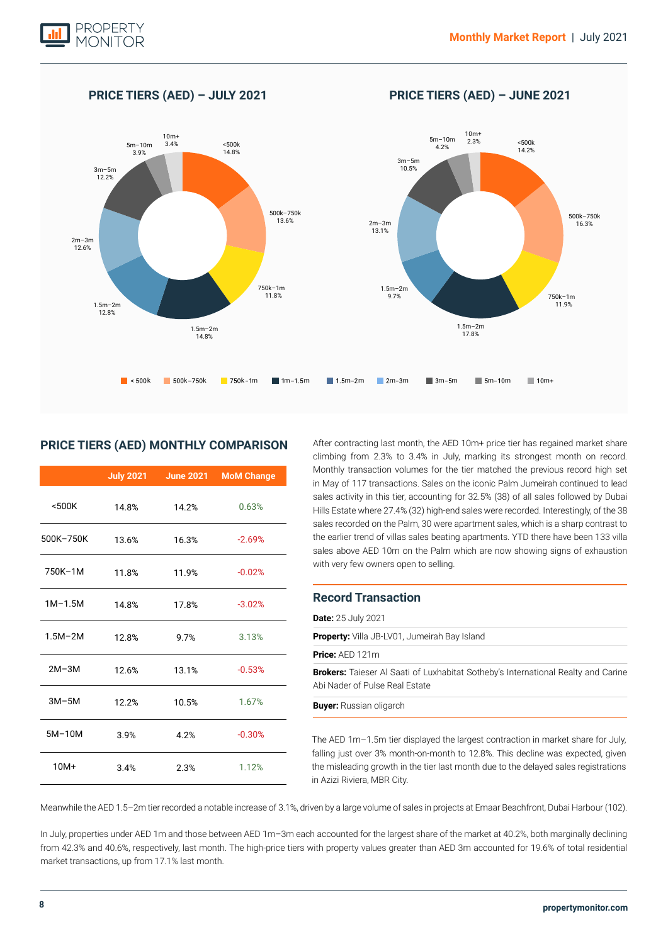

#### k 500k-750k 750k-1m 1n-1.5m 1.5m-2m 2m-3m 3m-5m 5m-10m 10m 2m–3m 13.1% 2m–3m 12.6%  $1.5m - 2m$ <br> $17.8%$ 1.5m–2m in the set of the set of the set of the set of the set of the set of the set of the set of the set of the set of the set of the set of the set of the set of the set of the set of the set of the set of the set of t 14.8% 1.5m–2m 9.7% 1.5m–2m 12.8% ~500k<br>14 2%  $-14.8\%$   $-14.2\%$   $-14.2\%$   $-14.2\%$   $-14.2\%$ 14.8% 3m–5m<br>10.5% 3m–5m 10.5% 12.2%  $\begin{array}{c|c}\n5m-10m & 3.4\% & & 5m-10m \\
\hline\n3.9\% & & 14.8\% & & 14.8\% \\
\end{array}$ 10m+ 10m+<br>2.3% 5m−10m 2.3% 10m+<br>3.4% 2.3% 10m+ 3.4% 750k–1m  $11.9%$ 750k–1m  $11.8%$ 500k–750k  $16.3%$ 500k–750k 13.6%

**PRICE TIERS (AED) – JULY 2021 PRICE TIERS (AED) – JUNE 2021**

### **PRICE TIERS (AED) MONTHLY COMPARISON**

|             | <b>July 2021</b> | <b>June 2021</b> | <b>MoM Change</b> |
|-------------|------------------|------------------|-------------------|
| $500K$      | 14.8%            | 14.2%            | 0.63%             |
| 500K-750K   | 13.6%            | 16.3%            | $-2.69%$          |
| 750K-1M     | 11.8%            | 11.9%            | $-0.02%$          |
| $1M-1.5M$   | 14.8%            | 17.8%            | $-3.02%$          |
| $1.5M - 2M$ | 12.8%            | 9.7%             | 3.13%             |
| $2M-3M$     | 12.6%            | 13.1%            | $-0.53%$          |
| $3M-5M$     | 12.2%            | 10.5%            | 1.67%             |
| $5M-10M$    | 3.9%             | 4.2%             | $-0.30%$          |
| $10M+$      | 3.4%             | 2.3%             | 1.12%             |

After contracting last month, the AED 10m+ price tier has regained market share climbing from 2.3% to 3.4% in July, marking its strongest month on record. Monthly transaction volumes for the tier matched the previous record high set in May of 117 transactions. Sales on the iconic Palm Jumeirah continued to lead sales activity in this tier, accounting for 32.5% (38) of all sales followed by Dubai Hills Estate where 27.4% (32) high-end sales were recorded. Interestingly, of the 38 sales recorded on the Palm, 30 were apartment sales, which is a sharp contrast to the earlier trend of villas sales beating apartments. YTD there have been 133 villa sales above AED 10m on the Palm which are now showing signs of exhaustion with very few owners open to selling.

### **Record Transaction**

| <b>Date:</b> 25 July 2021                                                                                                  |
|----------------------------------------------------------------------------------------------------------------------------|
| <b>Property:</b> Villa JB-LV01, Jumeirah Bay Island                                                                        |
| <b>Price:</b> $AED 121m$                                                                                                   |
| <b>Brokers:</b> Taieser Al Saati of Luxhabitat Sotheby's International Realty and Carine<br>Abi Nader of Pulse Real Estate |
| <b>Buyer:</b> Russian oligarch                                                                                             |
|                                                                                                                            |

The AED 1m–1.5m tier displayed the largest contraction in market share for July, falling just over 3% month-on-month to 12.8%. This decline was expected, given the misleading growth in the tier last month due to the delayed sales registrations in Azizi Riviera, MBR City.

Meanwhile the AED 1.5–2m tier recorded a notable increase of 3.1%, driven by a large volume of sales in projects at Emaar Beachfront, Dubai Harbour (102).

In July, properties under AED 1m and those between AED 1m–3m each accounted for the largest share of the market at 40.2%, both marginally declining from 42.3% and 40.6%, respectively, last month. The high-price tiers with property values greater than AED 3m accounted for 19.6% of total residential market transactions, up from 17.1% last month.